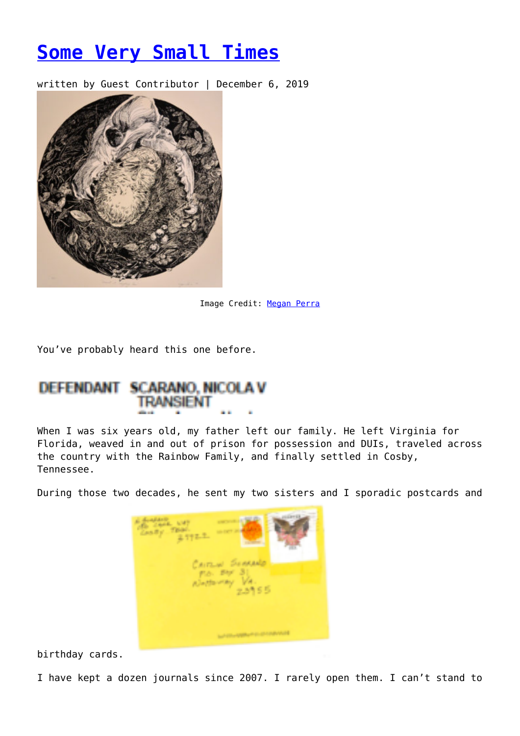## **[Some Very Small Times](https://entropymag.org/some-very-small-times/)**

written by Guest Contributor | December 6, 2019



Image Credit: [Megan Perra](https://www.instagram.com/feral5creativeco/?hl=en)

You've probably heard this one before.

## DEFENDANT SCARANO, NICOLA V

When I was six years old, my father left our family. He left Virginia for Florida, weaved in and out of prison for possession and DUIs, traveled across the country with the Rainbow Family, and finally settled in Cosby, Tennessee.

During those two decades, he sent my two sisters and I sporadic postcards and

| 医神经<br>There.<br>3-772-2<br>Cartanel<br><b>Sunt</b><br>Fig. 297 31<br>$\frac{V4}{2.5955}$<br><b>Alastavity</b> |
|----------------------------------------------------------------------------------------------------------------|
|                                                                                                                |

birthday cards.

I have kept a dozen journals since 2007. I rarely open them. I can't stand to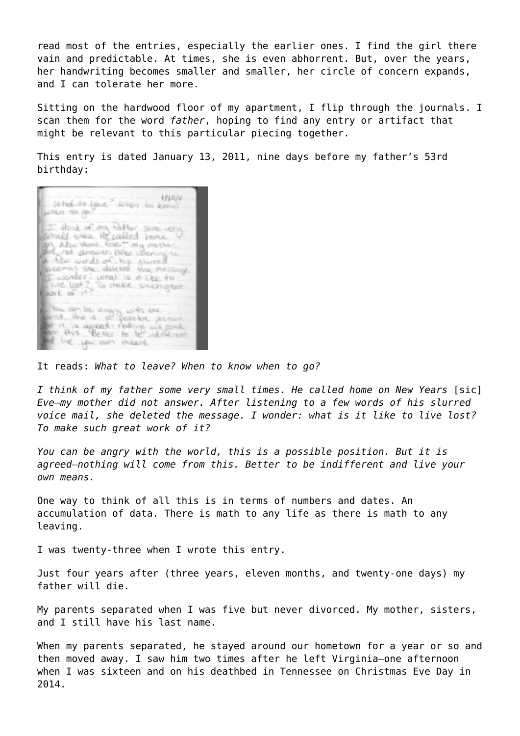read most of the entries, especially the earlier ones. I find the girl there vain and predictable. At times, she is even abhorrent. But, over the years, her handwriting becomes smaller and smaller, her circle of concern expands, and I can tolerate her more.

Sitting on the hardwood floor of my apartment, I flip through the journals. I scan them for the word *father*, hoping to find any entry or artifact that might be relevant to this particular piecing together.

This entry is dated January 13, 2011, nine days before my father's 53rd birthday:

| 121821<br>sohed to see when to know<br>when to onl                                                                          |
|-----------------------------------------------------------------------------------------------------------------------------|
| I think of my hable sene very                                                                                               |
| on Also Ward EVG My mether<br>and not answer pher being to<br>a ten words of his shored<br>escental she deleted the nessage |
| I wonder what is it like to<br>The Look ? To make such great<br>Show to de                                                  |
| than can be any grants the                                                                                                  |
| bet it is agreed reduce we const.<br>and the year away means                                                                |

It reads: *What to leave? When to know when to go?*

I think of my father some very small times. He called home on New Years [sic] *Eve—my mother did not answer. After listening to a few words of his slurred voice mail, she deleted the message. I wonder: what is it like to live lost? To make such great work of it?*

*You can be angry with the world, this is a possible position. But it is agreed—nothing will come from this. Better to be indifferent and live your own means.* 

One way to think of all this is in terms of numbers and dates. An accumulation of data. There is math to any life as there is math to any leaving.

I was twenty-three when I wrote this entry.

Just four years after (three years, eleven months, and twenty-one days) my father will die.

My parents separated when I was five but never divorced. My mother, sisters, and I still have his last name.

When my parents separated, he stayed around our hometown for a year or so and then moved away. I saw him two times after he left Virginia—one afternoon when I was sixteen and on his deathbed in Tennessee on Christmas Eve Day in 2014.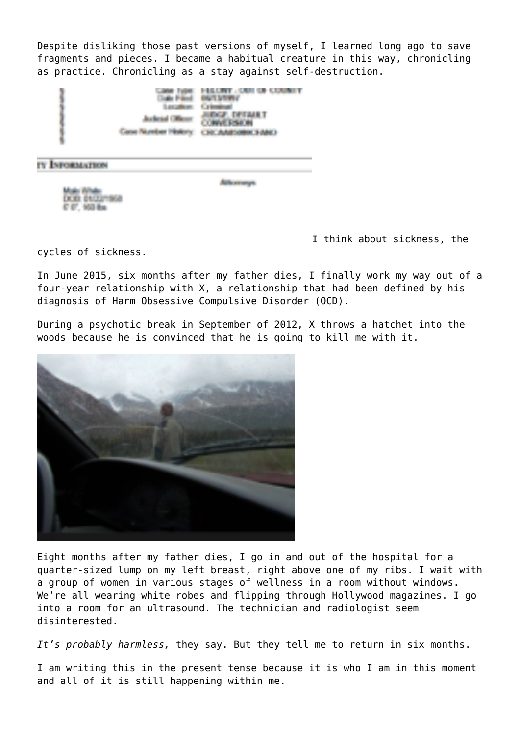Despite disliking those past versions of myself, I learned long ago to save fragments and pieces. I became a habitual creature in this way, chronicling as practice. Chronicling as a stay against self-destruction.



TY ENFORMATION

Arkansoys.

DOB: 06/23/1968 F (f), 100 lbs

[I](https://entropymag.org/?attachment_id=58753) think about sickness, the

cycles of sickness.

In June 2015, six months after my father dies, I finally work my way out of a four-year relationship with X, a relationship that had been defined by his diagnosis of Harm Obsessive Compulsive Disorder (OCD).

During a psychotic break in September of 2012, X throws a hatchet into the woods because he is convinced that he is going to kill me with it.



Eight months after my father dies, I go in and out of the hospital for a quarter-sized lump on my left breast, right above one of my ribs. I wait with a group of women in various stages of wellness in a room without windows. We're all wearing white robes and flipping through Hollywood magazines. I go into a room for an ultrasound. The technician and radiologist seem disinterested.

*It's probably harmless,* they say. But they tell me to return in six months.

I am writing this in the present tense because it is who I am in this moment and all of it is still happening within me.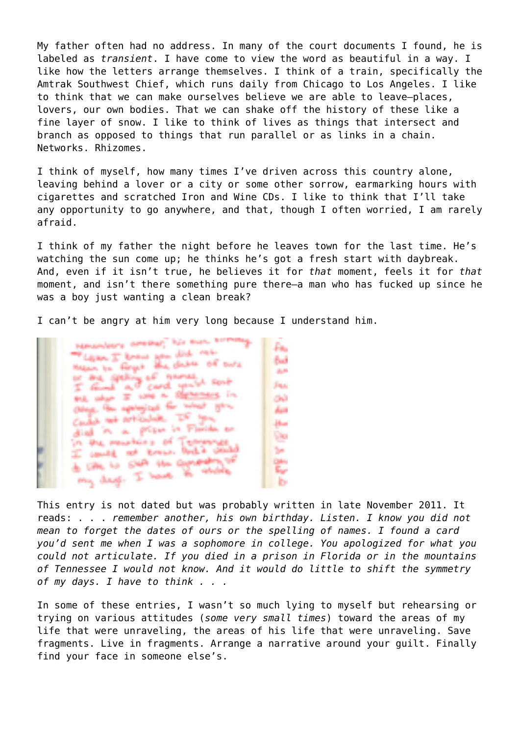My father often had no address. In many of the court documents I found, he is labeled as *transient*. I have come to view the word as beautiful in a way. I like how the letters arrange themselves. I think of a train, specifically the Amtrak Southwest Chief, which runs daily from Chicago to Los Angeles. I like to think that we can make ourselves believe we are able to leave—places, lovers, our own bodies. That we can shake off the history of these like a fine layer of snow. I like to think of lives as things that intersect and branch as opposed to things that run parallel or as links in a chain. Networks. Rhizomes.

I think of myself, how many times I've driven across this country alone, leaving behind a lover or a city or some other sorrow, earmarking hours with cigarettes and scratched Iron and Wine CDs. I like to think that I'll take any opportunity to go anywhere, and that, though I often worried, I am rarely afraid.

I think of my father the night before he leaves town for the last time. He's watching the sun come up; he thinks he's got a fresh start with daybreak. And, even if it isn't true, he believes it for *that* moment, feels it for *that* moment, and isn't there something pure there—a man who has fucked up since he was a boy just wanting a clean break?

I can't be angry at him very long because I understand him.

**Nationalistics** determines have a substanting £ĸ. monuments to an example of any that of the species of secretive such<br>I find a card your such **ALL** Jap. and what or some as decreases in GN. Other the exploritud for what you دياء Could not articulate. It's you Hu died in a prison in Florida or Dю in the mountains of Temmings I could not known look a could be. do the is sure the computer **Color** my deep. I have to centralistics. S۳ l by

This entry is not dated but was probably written in late November 2011. It reads: . . . *remember another, his own birthday. Listen. I know you did not mean to forget the dates of ours or the spelling of names. I found a card you'd sent me when I was a sophomore in college. You apologized for what you could not articulate. If you died in a prison in Florida or in the mountains of Tennessee I would not know. And it would do little to shift the symmetry of my days. I have to think . . .* 

In some of these entries, I wasn't so much lying to myself but rehearsing or trying on various attitudes (*some very small times*) toward the areas of my life that were unraveling, the areas of his life that were unraveling. Save fragments. Live in fragments. Arrange a narrative around your guilt. Finally find your face in someone else's.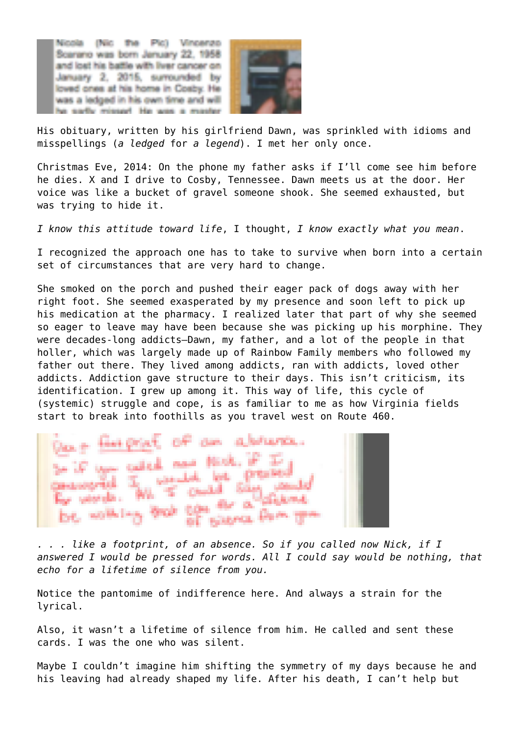Nicola (Nic the Pic) Vincenzo Scarano was born January 22, 1958 and lost his battle with liver cancer on January 2, 2015, surrounded by loved ones at his home in Cosby. He was a ledged in his own time and will arthy recessed. He was a



His obituary, written by his girlfriend Dawn, was sprinkled with idioms and misspellings (*a ledged* for *a legend*). I met her only once.

Christmas Eve, 2014: On the phone my father asks if I'll come see him before he dies. X and I drive to Cosby, Tennessee. Dawn meets us at the door. Her voice was like a bucket of gravel someone shook. She seemed exhausted, but was trying to hide it.

*I know this attitude toward life*, I thought, *I know exactly what you mean*.

I recognized the approach one has to take to survive when born into a certain set of circumstances that are very hard to change.

She smoked on the porch and pushed their eager pack of dogs away with her right foot. She seemed exasperated by my presence and soon left to pick up his medication at the pharmacy. I realized later that part of why she seemed so eager to leave may have been because she was picking up his morphine. They were decades-long addicts—Dawn, my father, and a lot of the people in that holler, which was largely made up of Rainbow Family members who followed my father out there. They lived among addicts, ran with addicts, loved other addicts. Addiction gave structure to their days. This isn't criticism, its identification. I grew up among it. This way of life, this cycle of (systemic) struggle and cope, is as familiar to me as how Virginia fields start to break into foothills as you travel west on Route 460.



*. . . like a footprint, of an absence. So if you called now Nick, if I answered I would be pressed for words. All I could say would be nothing, that echo for a lifetime of silence from you.*

Notice the pantomime of indifference here. And always a strain for the lyrical.

Also, it wasn't a lifetime of silence from him. He called and sent these cards. I was the one who was silent.

Maybe I couldn't imagine him shifting the symmetry of my days because he and his leaving had already shaped my life. After his death, I can't help but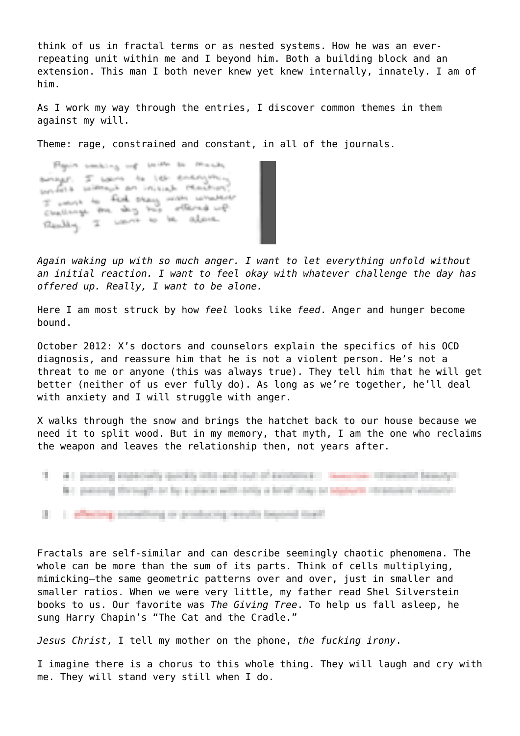think of us in fractal terms or as nested systems. How he was an everrepeating unit within me and I beyond him. Both a building block and an extension. This man I both never knew yet knew internally, innately. I am of him.

As I work my way through the entries, I discover common themes in them against my will.

Theme: rage, constrained and constant, in all of the journals.

Floyin socking up with to much arrays. I want to let energing with useral an initial Machan I want to find they with whatever surely are day his othered up. thereby I want to be above.

*Again waking up with so much anger. I want to let everything unfold without an initial reaction. I want to feel okay with whatever challenge the day has offered up. Really, I want to be alone.* 

Here I am most struck by how *feel* looks like *feed*. Anger and hunger become bound.

October 2012: X's doctors and counselors explain the specifics of his OCD diagnosis, and reassure him that he is not a violent person. He's not a threat to me or anyone (this was always true). They tell him that he will get better (neither of us ever fully do). As long as we're together, he'll deal with anxiety and I will struggle with anger.

X walks through the snow and brings the hatchet back to our house because we need it to split wood. But in my memory, that myth, I am the one who reclaims the weapon and leaves the relationship then, not years after.



Fractals are self-similar and can describe seemingly chaotic phenomena. The whole can be more than the sum of its parts. Think of cells multiplying, mimicking—the same geometric patterns over and over, just in smaller and smaller ratios. When we were very little, my father read Shel Silverstein books to us. Our favorite was *The Giving Tree*. To help us fall asleep, he sung Harry Chapin's "The Cat and the Cradle."

*Jesus Christ*, I tell my mother on the phone, *the fucking irony*.

I imagine there is a chorus to this whole thing. They will laugh and cry with me. They will stand very still when I do.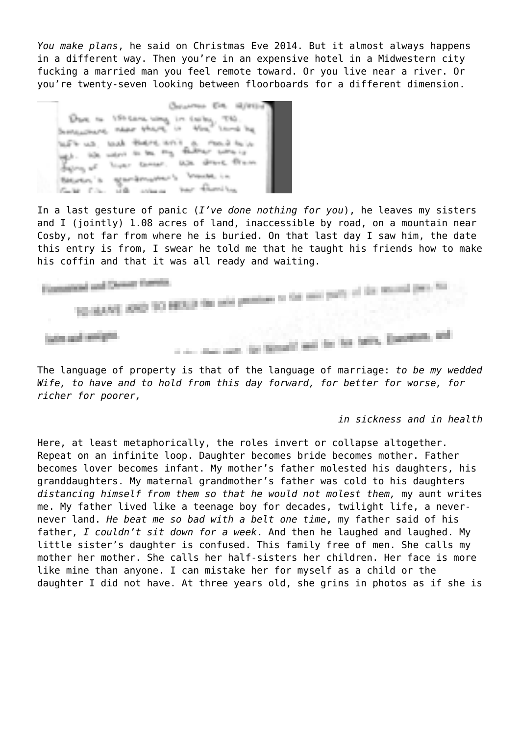*You make plans*, he said on Christmas Eve 2014. But it almost always happens in a different way. Then you're in an expensive hotel in a Midwestern city fucking a married man you feel remote toward. Or you live near a river. Or you're twenty-seven looking between floorboards for a different dimension.

Occurren EVA 12/9121 Done to 150 cars way in color, TEO. Sentenciava, their share in the Stored Top With us, bush there and a movie of it you are went of the second that direct them Becomes in agentinations to brown in are modern Case Co., 14 the state of the con-

In a last gesture of panic (*I've done nothing for you*), he leaves my sisters and I (jointly) 1.08 acres of land, inaccessible by road, on a mountain near Cosby, not far from where he is buried. On that last day I saw him, the date this entry is from, I swear he told me that he taught his friends how to make his coffin and that it was all ready and waiting.

Economist and Design Fuents and and Chemer Formits.<br>This should be the 10 MES of the said premium to the said young of the Mountain pre-between and working the

The language of property is that of the language of marriage: *to be my wedded Wife, to have and to hold from this day forward, for better for worse, for richer for poorer,* 

*in sickness and in health*

Here, at least metaphorically, the roles invert or collapse altogether. Repeat on an infinite loop. Daughter becomes bride becomes mother. Father becomes lover becomes infant. My mother's father molested his daughters, his granddaughters. My maternal grandmother's father was cold to his daughters *distancing himself from them so that he would not molest them,* my aunt writes me. My father lived like a teenage boy for decades, twilight life, a nevernever land. *He beat me so bad with a belt one time*, my father said of his father, *I couldn't sit down for a week*. And then he laughed and laughed. My little sister's daughter is confused. This family free of men. She calls my mother her mother. She calls her half-sisters her children. Her face is more like mine than anyone. I can mistake her for myself as a child or the daughter I did not have. At three years old, she grins in photos as if she is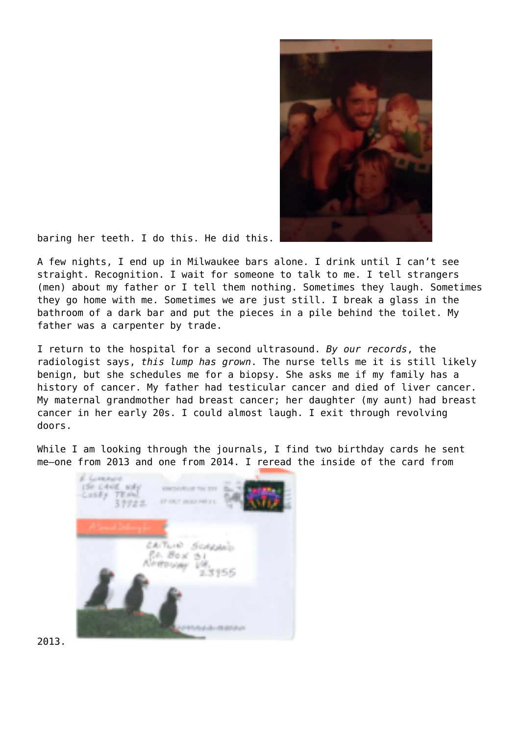

baring her teeth. I do this. He did this.

A few nights, I end up in Milwaukee bars alone. I drink until I can't see straight. Recognition. I wait for someone to talk to me. I tell strangers (men) about my father or I tell them nothing. Sometimes they laugh. Sometimes they go home with me. Sometimes we are just still. I break a glass in the bathroom of a dark bar and put the pieces in a pile behind the toilet. My father was a carpenter by trade.

I return to the hospital for a second ultrasound. *By our records*, the radiologist says, *this lump has grown*. The nurse tells me it is still likely benign, but she schedules me for a biopsy. She asks me if my family has a history of cancer. My father had testicular cancer and died of liver cancer. My maternal grandmother had breast cancer; her daughter (my aunt) had breast cancer in her early 20s. I could almost laugh. I exit through revolving doors.

While I am looking through the journals, I find two birthday cards he sent me—one from 2013 and one from 2014. I reread the inside of the card from



2013.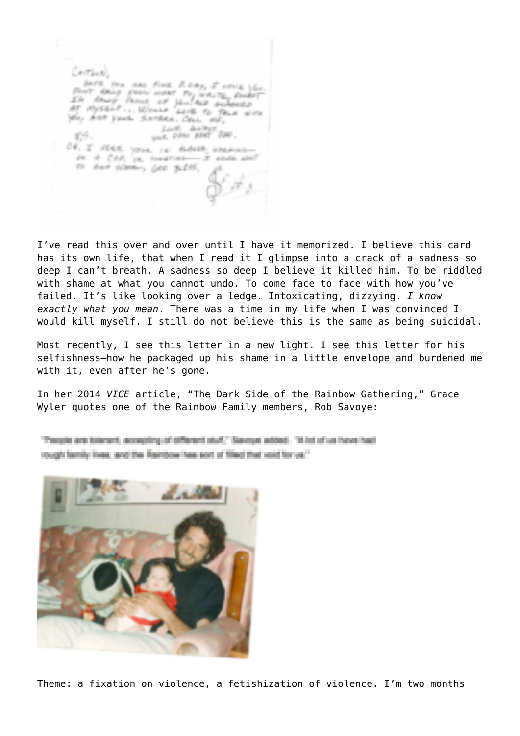Centine) you, Ann your simplex, close me, Lout Antar 200.<br>Van Dito Met 200. 15. OF, I NEEL YOUR IN BIBLES, NORMAL or it (to), or courses-it state and To their scienting gets 36.255.

I've read this over and over until I have it memorized. I believe this card has its own life, that when I read it I glimpse into a crack of a sadness so deep I can't breath. A sadness so deep I believe it killed him. To be riddled with shame at what you cannot undo. To come face to face with how you've failed. It's like looking over a ledge. Intoxicating, dizzying. *I know exactly what you mean*. There was a time in my life when I was convinced I would kill myself. I still do not believe this is the same as being suicidal.

Most recently, I see this letter in a new light. I see this letter for his selfishness—how he packaged up his shame in a little envelope and burdened me with it, even after he's gone.

In her 2014 *VICE* article, "The Dark Side of the Rainbow Gathering," Grace Wyler quotes one of the Rainbow Family members, Rob Savoye:

Therefor are tolerant, accepting of different stuff," Seveya added. "A lot of us have had rough family lives, and the Rainbow has sort of filed that wild for us."



Theme: a fixation on violence, a fetishization of violence. I'm two months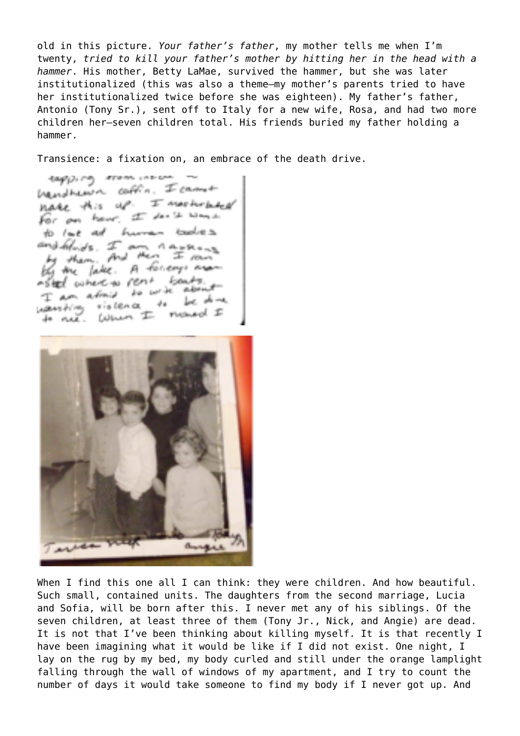old in this picture. *Your father's father*, my mother tells me when I'm twenty, *tried to kill your father's mother by hitting her in the head with a hammer*. His mother, Betty LaMae, survived the hammer, but she was later institutionalized (this was also a theme—my mother's parents tried to have her institutionalized twice before she was eighteen). My father's father, Antonio (Tony Sr.), sent off to Italy for a new wife, Rosa, and had two more children her—seven children total. His friends buried my father holding a hammer.

Transience: a fixation on, an embrace of the death drive.

tapsing tram incomhandheur cables. I came nake this up. I meeterbeen For an hour. I don't want to love as human tooles and heads. I an Anones by them. And then I row by the lake. A faceny man wheel where to rent fronts. I am afinis to write about يستقد يهيؤ - dra wanting rislence to net. When I moved I



When I find this one all I can think: they were children. And how beautiful. Such small, contained units. The daughters from the second marriage, Lucia and Sofia, will be born after this. I never met any of his siblings. Of the seven children, at least three of them (Tony Jr., Nick, and Angie) are dead. It is not that I've been thinking about killing myself. It is that recently I have been imagining what it would be like if I did not exist. One night, I lay on the rug by my bed, my body curled and still under the orange lamplight falling through the wall of windows of my apartment, and I try to count the number of days it would take someone to find my body if I never got up. And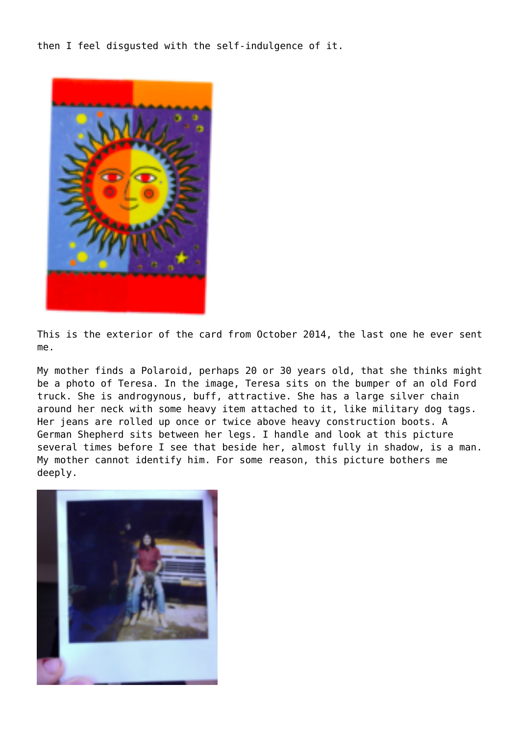then I feel disgusted with the self-indulgence of it.



This is the exterior of the card from October 2014, the last one he ever sent me.

My mother finds a Polaroid, perhaps 20 or 30 years old, that she thinks might be a photo of Teresa. In the image, Teresa sits on the bumper of an old Ford truck. She is androgynous, buff, attractive. She has a large silver chain around her neck with some heavy item attached to it, like military dog tags. Her jeans are rolled up once or twice above heavy construction boots. A German Shepherd sits between her legs. I handle and look at this picture several times before I see that beside her, almost fully in shadow, is a man. My mother cannot identify him. For some reason, this picture bothers me deeply.

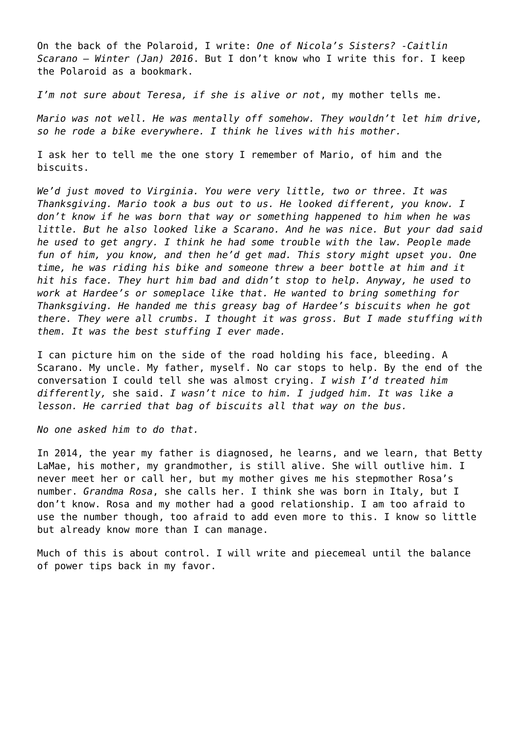On the back of the Polaroid, I write: *One of Nicola's Sisters? -Caitlin Scarano – Winter (Jan) 2016*. But I don't know who I write this for. I keep the Polaroid as a bookmark.

*I'm not sure about Teresa, if she is alive or not*, my mother tells me.

*Mario was not well. He was mentally off somehow. They wouldn't let him drive, so he rode a bike everywhere. I think he lives with his mother.*

I ask her to tell me the one story I remember of Mario, of him and the biscuits.

*We'd just moved to Virginia. You were very little, two or three. It was Thanksgiving. Mario took a bus out to us. He looked different, you know. I don't know if he was born that way or something happened to him when he was little. But he also looked like a Scarano. And he was nice. But your dad said he used to get angry. I think he had some trouble with the law. People made fun of him, you know, and then he'd get mad. This story might upset you. One time, he was riding his bike and someone threw a beer bottle at him and it hit his face. They hurt him bad and didn't stop to help. Anyway, he used to work at Hardee's or someplace like that. He wanted to bring something for Thanksgiving. He handed me this greasy bag of Hardee's biscuits when he got there. They were all crumbs. I thought it was gross. But I made stuffing with them. It was the best stuffing I ever made.*

I can picture him on the side of the road holding his face, bleeding. A Scarano. My uncle. My father, myself. No car stops to help. By the end of the conversation I could tell she was almost crying. *I wish I'd treated him differently,* she said. *I wasn't nice to him. I judged him. It was like a lesson. He carried that bag of biscuits all that way on the bus.* 

*No one asked him to do that.* 

In 2014, the year my father is diagnosed, he learns, and we learn, that Betty LaMae, his mother, my grandmother, is still alive. She will outlive him. I never meet her or call her, but my mother gives me his stepmother Rosa's number. *Grandma Rosa*, she calls her. I think she was born in Italy, but I don't know. Rosa and my mother had a good relationship. I am too afraid to use the number though, too afraid to add even more to this. I know so little but already know more than I can manage.

Much of this is about control. I will write and piecemeal until the balance of power tips back in my favor.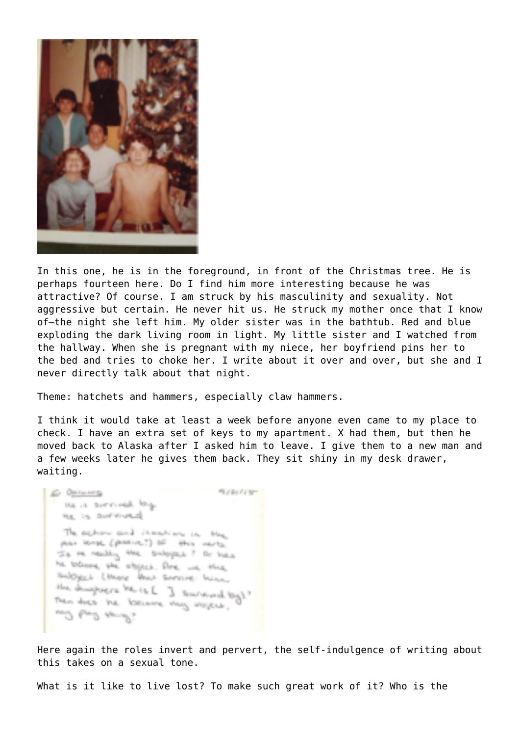

In this one, he is in the foreground, in front of the Christmas tree. He is perhaps fourteen here. Do I find him more interesting because he was attractive? Of course. I am struck by his masculinity and sexuality. Not aggressive but certain. He never hit us. He struck my mother once that I know of—the night she left him. My older sister was in the bathtub. Red and blue exploding the dark living room in light. My little sister and I watched from the hallway. When she is pregnant with my niece, her boyfriend pins her to the bed and tries to choke her. I write about it over and over, but she and I never directly talk about that night.

Theme: hatchets and hammers, especially claw hammers.

I think it would take at least a week before anyone even came to my place to check. I have an extra set of keys to my apartment. X had them, but then he moved back to Alaska after I asked him to leave. I give them to a new man and a few weeks later he gives them back. They sit shiny in my desk drawer, waiting.

fluon com-G. Oliverty the in territorial little ne is autoured The explorational interesting in the mai lenge (persive.!) of this varia-Is in reality the subspace? Or bus he believe the abject. Are we think SubDiggs.L Literary Death Schevelore, Incine, the designers being I survived by ! Then does the locusine view display. and by American

Here again the roles invert and pervert, the self-indulgence of writing about this takes on a sexual tone.

What is it like to live lost? To make such great work of it? Who is the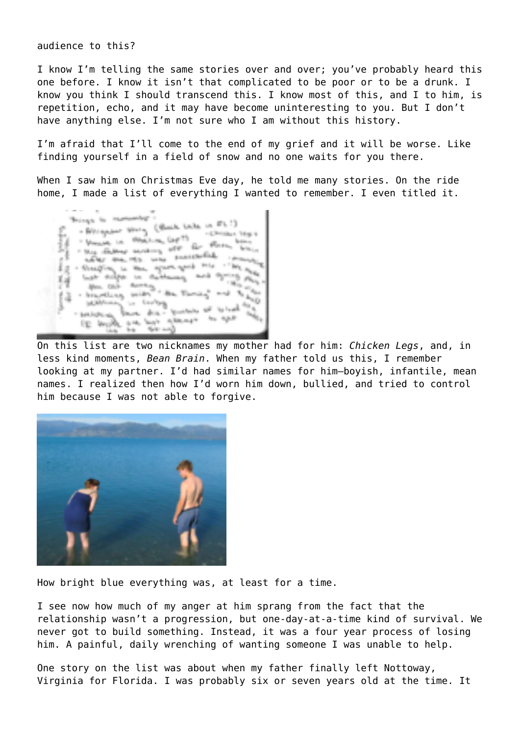audience to this?

I know I'm telling the same stories over and over; you've probably heard this one before. I know it isn't that complicated to be poor or to be a drunk. I know you think I should transcend this. I know most of this, and I to him, is repetition, echo, and it may have become uninteresting to you. But I don't have anything else. I'm not sure who I am without this history.

I'm afraid that I'll come to the end of my grief and it will be worse. Like finding yourself in a field of snow and no one waits for you there.

When I saw him on Christmas Eve day, he told me many stories. On the ride home, I made a list of everything I wanted to remember. I even titled it.



On this list are two nicknames my mother had for him: *Chicken Legs*, and, in less kind moments, *Bean Brain*. When my father told us this, I remember looking at my partner. I'd had similar names for him—boyish, infantile, mean names. I realized then how I'd worn him down, bullied, and tried to control him because I was not able to forgive.



How bright blue everything was, at least for a time.

I see now how much of my anger at him sprang from the fact that the relationship wasn't a progression, but one-day-at-a-time kind of survival. We never got to build something. Instead, it was a four year process of losing him. A painful, daily wrenching of wanting someone I was unable to help.

One story on the list was about when my father finally left Nottoway, Virginia for Florida. I was probably six or seven years old at the time. It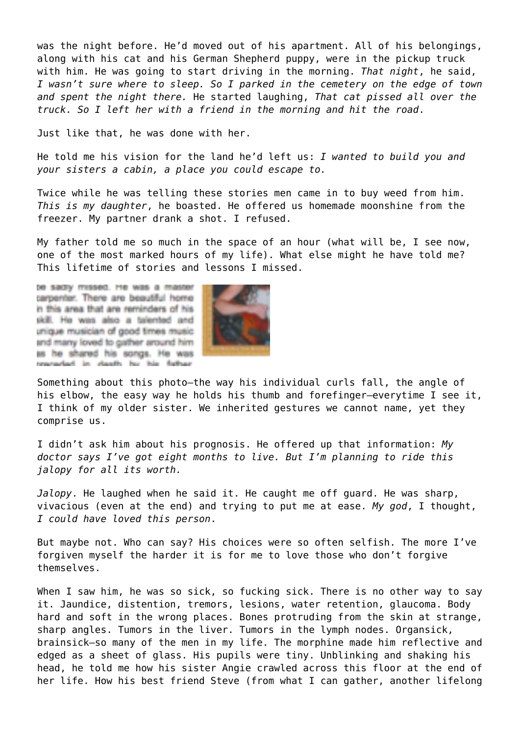was the night before. He'd moved out of his apartment. All of his belongings, along with his cat and his German Shepherd puppy, were in the pickup truck with him. He was going to start driving in the morning. *That night*, he said, *I wasn't sure where to sleep. So I parked in the cemetery on the edge of town and spent the night there.* He started laughing, *That cat pissed all over the truck. So I left her with a friend in the morning and hit the road*.

Just like that, he was done with her.

He told me his vision for the land he'd left us: *I wanted to build you and your sisters a cabin, a place you could escape to.*

Twice while he was telling these stories men came in to buy weed from him. *This is my daughter*, he boasted. He offered us homemade moonshine from the freezer. My partner drank a shot. I refused.

My father told me so much in the space of an hour (what will be, I see now, one of the most marked hours of my life). What else might he have told me? This lifetime of stories and lessons I missed.

be sadly missed. He was a master carpenter. There are beautiful home in this area that are reminders of his skill. He was also a talented and unique musician of good times music and many loved to gather around him as he shared his songs. He was researched in death he his follow-



Something about this photo—the way his individual curls fall, the angle of his elbow, the easy way he holds his thumb and forefinger—everytime I see it, I think of my older sister. We inherited gestures we cannot name, yet they comprise us.

I didn't ask him about his prognosis. He offered up that information: *My doctor says I've got eight months to live. But I'm planning to ride this jalopy for all its worth.* 

*Jalopy*. He laughed when he said it. He caught me off guard. He was sharp, vivacious (even at the end) and trying to put me at ease. *My god*, I thought, *I could have loved this person*.

But maybe not. Who can say? His choices were so often selfish. The more I've forgiven myself the harder it is for me to love those who don't forgive themselves.

When I saw him, he was so sick, so fucking sick. There is no other way to say it. Jaundice, distention, tremors, lesions, water retention, glaucoma. Body hard and soft in the wrong places. Bones protruding from the skin at strange, sharp angles. Tumors in the liver. Tumors in the lymph nodes. Organsick, brainsick—so many of the men in my life. The morphine made him reflective and edged as a sheet of glass. His pupils were tiny. Unblinking and shaking his head, he told me how his sister Angie crawled across this floor at the end of her life. How his best friend Steve (from what I can gather, another lifelong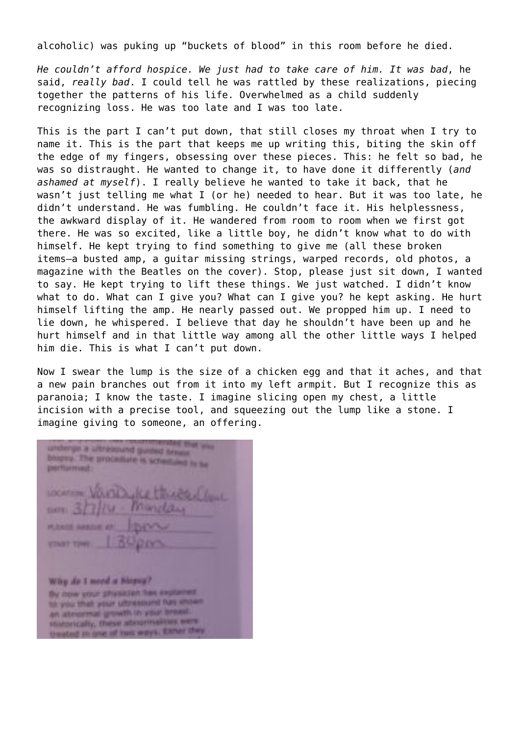alcoholic) was puking up "buckets of blood" in this room before he died.

*He couldn't afford hospice. We just had to take care of him. It was bad*, he said, *really bad*. I could tell he was rattled by these realizations, piecing together the patterns of his life. Overwhelmed as a child suddenly recognizing loss. He was too late and I was too late.

This is the part I can't put down, that still closes my throat when I try to name it. This is the part that keeps me up writing this, biting the skin off the edge of my fingers, obsessing over these pieces. This: he felt so bad, he was so distraught. He wanted to change it, to have done it differently (*and ashamed at myself*). I really believe he wanted to take it back, that he wasn't just telling me what I (or he) needed to hear. But it was too late, he didn't understand. He was fumbling. He couldn't face it. His helplessness, the awkward display of it. He wandered from room to room when we first got there. He was so excited, like a little boy, he didn't know what to do with himself. He kept trying to find something to give me (all these broken items—a busted amp, a guitar missing strings, warped records, old photos, a magazine with the Beatles on the cover). Stop, please just sit down, I wanted to say. He kept trying to lift these things. We just watched. I didn't know what to do. What can I give you? What can I give you? he kept asking. He hurt himself lifting the amp. He nearly passed out. We propped him up. I need to lie down, he whispered. I believe that day he shouldn't have been up and he hurt himself and in that little way among all the other little ways I helped him die. This is what I can't put down.

Now I swear the lump is the size of a chicken egg and that it aches, and that a new pain branches out from it into my left armpit. But I recognize this as paranoia; I know the taste. I imagine slicing open my chest, a little incision with a precise tool, and squeezing out the lump like a stone. I imagine giving to someone, an offering.

the man pas undergo a ultrateund guided treas. blogue. The probable is scheduled to be **Intritarment PURALE AVAILE CONT TIME** Why do I seed a biopsy? By now your physician has explained. his your than your ultrasound has shown an abnormal growth in your breast. Historically, these abnormalities were treated in one of two ways, Elfter they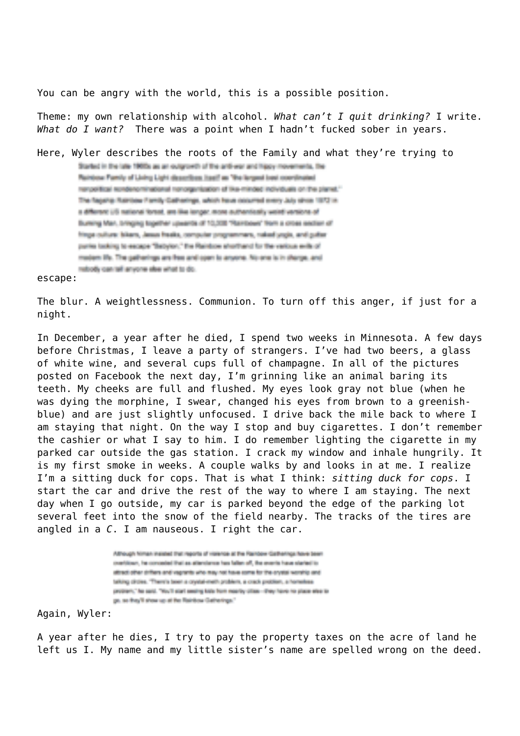You can be angry with the world, this is a possible position.

Theme: my own relationship with alcohol. *What can't I quit drinking?* I write. *What do I want?* There was a point when I hadn't fucked sober in years.

Here, Wyler describes the roots of the Family and what they're trying to

Started in the late 1980s as an outgrowth of the anti-war and hippy-movements, the Reintiese Family of Living Light describes (see!) as "the lengest light copylinated rengelisal sunderprinational nonogenization of the minded individuals on the planet." The fageing Resides Family Californings, which have cocurred every July since 1972 in a different US national forest, are like lenger, more authentically welld versions of Burning Man, bringing Expelher upwards of 10,008 "Rainbows" from a cross section of frega culture bikers, Jesus freaks, computer programmers, raked unpls, and gutter parks taking to escape "Bebyter," the Rainbow shorthand for the various with of matern th. The patherings are free and open to anyone. No one to in sharpe, and relody can jell anyone else what to do.

escape:

The blur. A weightlessness. Communion. To turn off this anger, if just for a night.

In December, a year after he died, I spend two weeks in Minnesota. A few days before Christmas, I leave a party of strangers. I've had two beers, a glass of white wine, and several cups full of champagne. In all of the pictures posted on Facebook the next day, I'm grinning like an animal baring its teeth. My cheeks are full and flushed. My eyes look gray not blue (when he was dying the morphine, I swear, changed his eyes from brown to a greenishblue) and are just slightly unfocused. I drive back the mile back to where I am staying that night. On the way I stop and buy cigarettes. I don't remember the cashier or what I say to him. I do remember lighting the cigarette in my parked car outside the gas station. I crack my window and inhale hungrily. It is my first smoke in weeks. A couple walks by and looks in at me. I realize I'm a sitting duck for cops. That is what I think: *sitting duck for cops*. I start the car and drive the rest of the way to where I am staying. The next day when I go outside, my car is parked beyond the edge of the parking lot several feet into the snow of the field nearby. The tracks of the tires are angled in a *C*. I am nauseous. I right the car.

> Although Niman insighed that reports of violence at the Rainbow Califierings have been contribue, he conceded that as attentions has false of, the events have started to attract other circlers and vagrants who may not have some for the crystal worship and taking circles. There's been a crystal-meth problem, a crack problem, a homeless protein," he said. "You'll start seeing kids from mastic cities - they have no place she to go, so they'll show up at the Rainbow Gatherings."

Again, Wyler:

A year after he dies, I try to pay the property taxes on the acre of land he left us I. My name and my little sister's name are spelled wrong on the deed.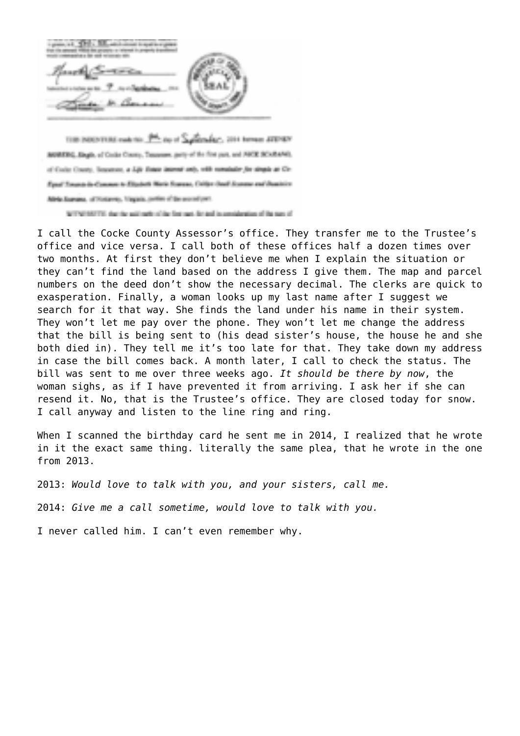THE INDENTIAL rank for 1<sup>944</sup> and 5 Separaday, 2014 horses ATD-RN MORERC, Slegh, of Code Couny, Tessages, party of the first part, and ABCE SCARAND, of Code Courty, Separate, a Life Enter internet and, with remainder for singula at Cir-Fault Towards de Comment & Elizabeth Marie Stammer, Californ David Aconomy and Duminics Alela Surusu, of Hotevey, Vagaia, prim of the second part. WITNESSTER, the the activate of the first rast, for and in consideration of the sum of

I call the Cocke County Assessor's office. They transfer me to the Trustee's office and vice versa. I call both of these offices half a dozen times over two months. At first they don't believe me when I explain the situation or they can't find the land based on the address I give them. The map and parcel numbers on the deed don't show the necessary decimal. The clerks are quick to exasperation. Finally, a woman looks up my last name after I suggest we search for it that way. She finds the land under his name in their system. They won't let me pay over the phone. They won't let me change the address that the bill is being sent to (his dead sister's house, the house he and she both died in). They tell me it's too late for that. They take down my address in case the bill comes back. A month later, I call to check the status. The bill was sent to me over three weeks ago. *It should be there by now*, the woman sighs, as if I have prevented it from arriving. I ask her if she can resend it. No, that is the Trustee's office. They are closed today for snow. I call anyway and listen to the line ring and ring.

When I scanned the birthday card he sent me in 2014, I realized that he wrote in it the exact same thing. literally the same plea, that he wrote in the one from 2013.

2013: *Would love to talk with you, and your sisters, call me.* 

2014: *Give me a call sometime, would love to talk with you.*

I never called him. I can't even remember why.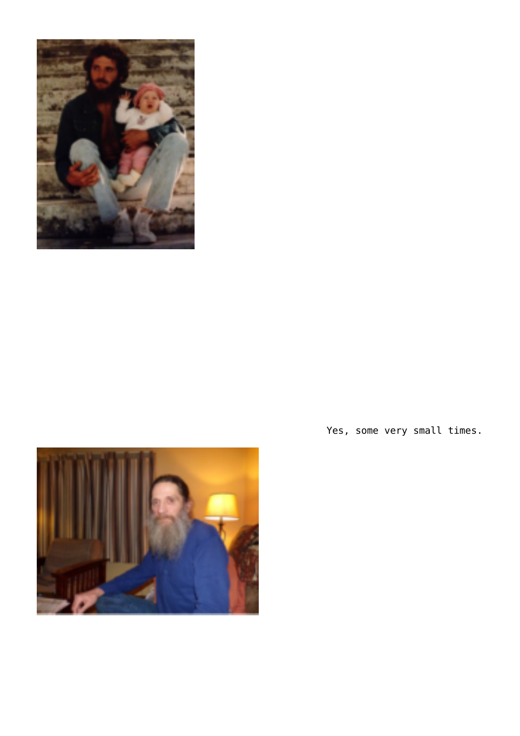



Yes, some very small times.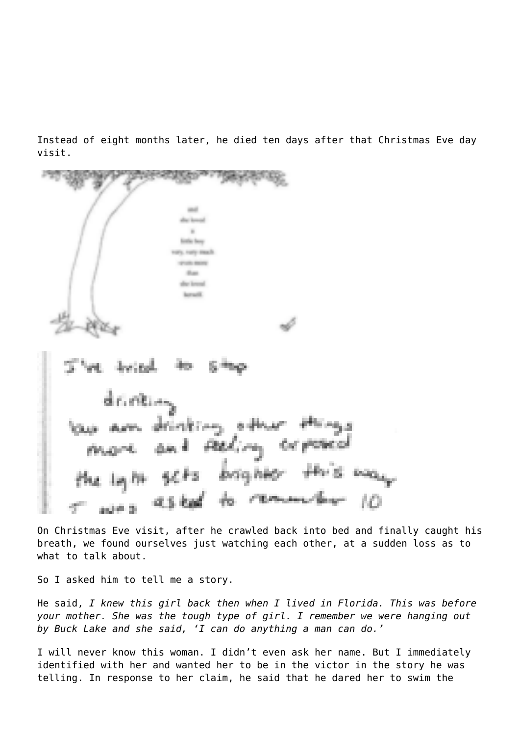Instead of eight months later, he died ten days after that Christmas Eve day visit.

**Sinths Bene COLLEGAN Show** to loved r. ett difficult law

On Christmas Eve visit, after he crawled back into bed and finally caught his breath, we found ourselves just watching each other, at a sudden loss as to what to talk about.

So I asked him to tell me a story.

He said, *I knew this girl back then when I lived in Florida. This was before your mother. She was the tough type of girl. I remember we were hanging out by Buck Lake and she said, 'I can do anything a man can do.'*

I will never know this woman. I didn't even ask her name. But I immediately identified with her and wanted her to be in the victor in the story he was telling. In response to her claim, he said that he dared her to swim the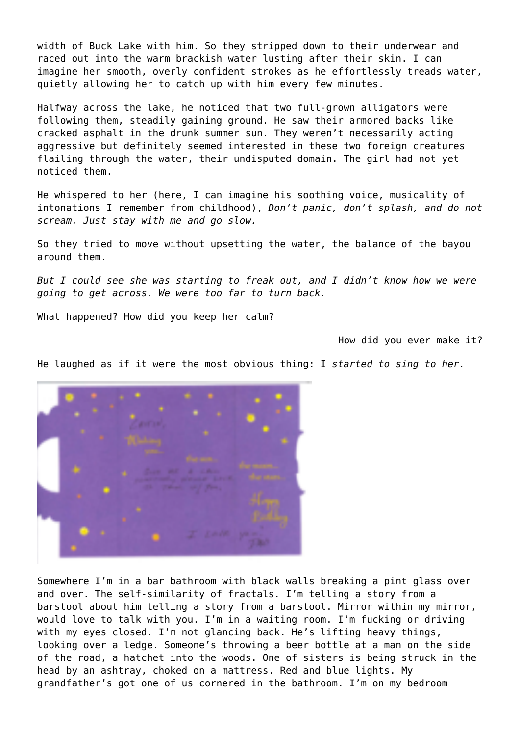width of Buck Lake with him. So they stripped down to their underwear and raced out into the warm brackish water lusting after their skin. I can imagine her smooth, overly confident strokes as he effortlessly treads water, quietly allowing her to catch up with him every few minutes.

Halfway across the lake, he noticed that two full-grown alligators were following them, steadily gaining ground. He saw their armored backs like cracked asphalt in the drunk summer sun. They weren't necessarily acting aggressive but definitely seemed interested in these two foreign creatures flailing through the water, their undisputed domain. The girl had not yet noticed them.

He whispered to her (here, I can imagine his soothing voice, musicality of intonations I remember from childhood), *Don't panic, don't splash, and do not scream. Just stay with me and go slow.*

So they tried to move without upsetting the water, the balance of the bayou around them.

*But I could see she was starting to freak out, and I didn't know how we were going to get across. We were too far to turn back.*

What happened? How did you keep her calm?

How did you ever make it?

He laughed as if it were the most obvious thing: I *started to sing to her.*

Somewhere I'm in a bar bathroom with black walls breaking a pint glass over and over. The self-similarity of fractals. I'm telling a story from a barstool about him telling a story from a barstool. Mirror within my mirror, would love to talk with you. I'm in a waiting room. I'm fucking or driving with my eyes closed. I'm not glancing back. He's lifting heavy things, looking over a ledge. Someone's throwing a beer bottle at a man on the side of the road, a hatchet into the woods. One of sisters is being struck in the head by an ashtray, choked on a mattress. Red and blue lights. My grandfather's got one of us cornered in the bathroom. I'm on my bedroom